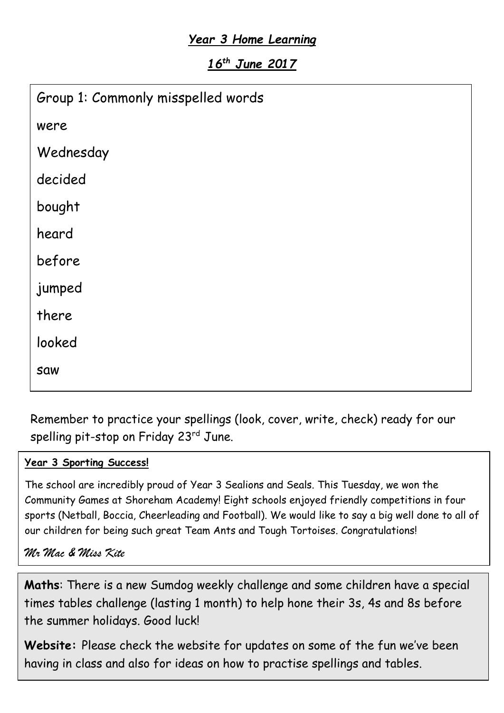# *Year 3 Home Learning*

*16th June 2017*

| Group 1: Commonly misspelled words |
|------------------------------------|
| were                               |
| Wednesday                          |
| decided                            |
| bought                             |
| heard                              |
| before                             |
| jumped                             |
| there                              |
| looked                             |
| <b>Saw</b>                         |

Remember to practice your spellings (look, cover, write, check) ready for our spelling pit-stop on Friday 23rd June.

#### **Year 3 Sporting Success!**

The school are incredibly proud of Year 3 Sealions and Seals. This Tuesday, we won the Community Games at Shoreham Academy! Eight schools enjoyed friendly competitions in four sports (Netball, Boccia, Cheerleading and Football). We would like to say a big well done to all of our children for being such great Team Ants and Tough Tortoises. Congratulations!

*Mr Mac & Miss Kite*

**Maths**: There is a new Sumdog weekly challenge and some children have a special times tables challenge (lasting 1 month) to help hone their 3s, 4s and 8s before the summer holidays. Good luck!

**Website:** Please check the website for updates on some of the fun we've been having in class and also for ideas on how to practise spellings and tables.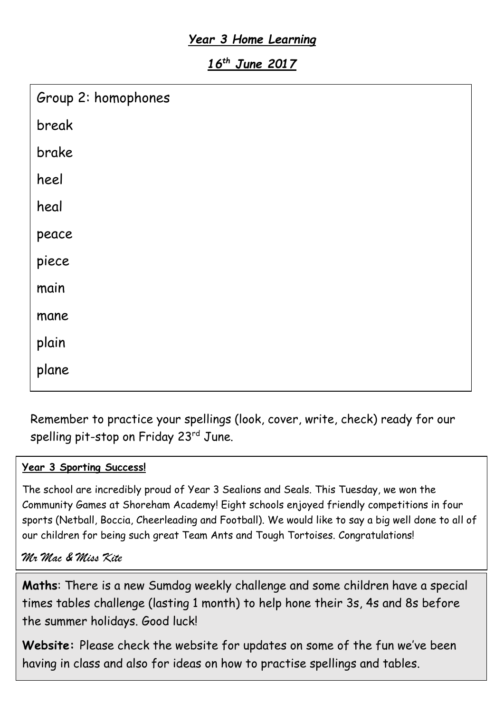# *Year 3 Home Learning*

*16th June 2017*

| Group 2: homophones |
|---------------------|
| break               |
| brake               |
| heel                |
| heal                |
| peace               |
| piece               |
| main                |
| mane                |
| plain               |
| plane               |
|                     |

Remember to practice your spellings (look, cover, write, check) ready for our spelling pit-stop on Friday 23rd June.

#### **Year 3 Sporting Success!**

The school are incredibly proud of Year 3 Sealions and Seals. This Tuesday, we won the Community Games at Shoreham Academy! Eight schools enjoyed friendly competitions in four sports (Netball, Boccia, Cheerleading and Football). We would like to say a big well done to all of our children for being such great Team Ants and Tough Tortoises. Congratulations!

#### *Mr Mac & Miss Kite*

**Maths**: There is a new Sumdog weekly challenge and some children have a special times tables challenge (lasting 1 month) to help hone their 3s, 4s and 8s before the summer holidays. Good luck!

**Website:** Please check the website for updates on some of the fun we've been having in class and also for ideas on how to practise spellings and tables.